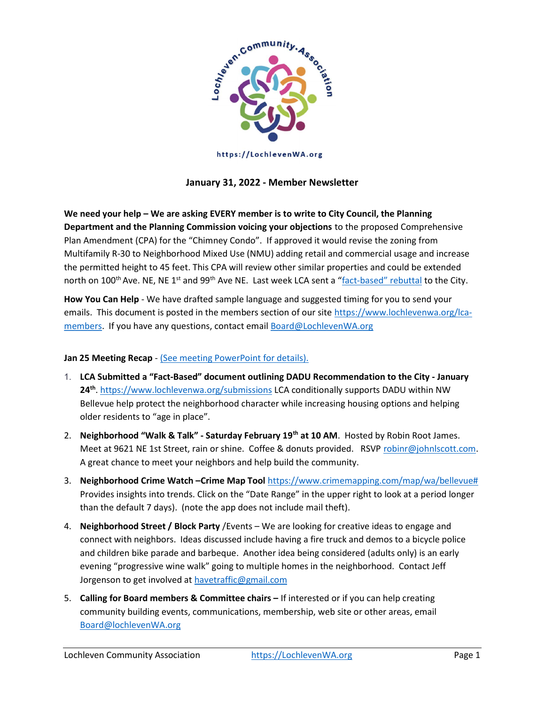

## January 31, 2022 - Member Newsletter

We need your help – We are asking EVERY member is to write to City Council, the Planning Department and the Planning Commission voicing your objections to the proposed Comprehensive Plan Amendment (CPA) for the "Chimney Condo". If approved it would revise the zoning from Multifamily R-30 to Neighborhood Mixed Use (NMU) adding retail and commercial usage and increase the permitted height to 45 feet. This CPA will review other similar properties and could be extended north on 100<sup>th</sup> Ave. NE, NE 1<sup>st</sup> and 99<sup>th</sup> Ave NE. Last week LCA sent a "fact-based" rebuttal to the City.

How You Can Help - We have drafted sample language and suggested timing for you to send your emails. This document is posted in the members section of our site https://www.lochlevenwa.org/lcamembers. If you have any questions, contact email Board@LochlevenWA.org

## Jan 25 Meeting Recap - (See meeting PowerPoint for details).

- 1. LCA Submitted a "Fact-Based" document outlining DADU Recommendation to the City January 24<sup>th</sup>. https://www.lochlevenwa.org/submissions LCA conditionally supports DADU within NW Bellevue help protect the neighborhood character while increasing housing options and helping older residents to "age in place".
- 2. Neighborhood "Walk & Talk" Saturday February 19<sup>th</sup> at 10 AM. Hosted by Robin Root James. Meet at 9621 NE 1st Street, rain or shine. Coffee & donuts provided. RSVP robinr@johnlscott.com. A great chance to meet your neighbors and help build the community.
- 3. Neighborhood Crime Watch –Crime Map Tool https://www.crimemapping.com/map/wa/bellevue# Provides insights into trends. Click on the "Date Range" in the upper right to look at a period longer than the default 7 days). (note the app does not include mail theft).
- 4. Neighborhood Street / Block Party / Events We are looking for creative ideas to engage and connect with neighbors. Ideas discussed include having a fire truck and demos to a bicycle police and children bike parade and barbeque. Another idea being considered (adults only) is an early evening "progressive wine walk" going to multiple homes in the neighborhood. Contact Jeff Jorgenson to get involved at havetraffic@gmail.com
- 5. Calling for Board members & Committee chairs If interested or if you can help creating community building events, communications, membership, web site or other areas, email Board@lochlevenWA.org